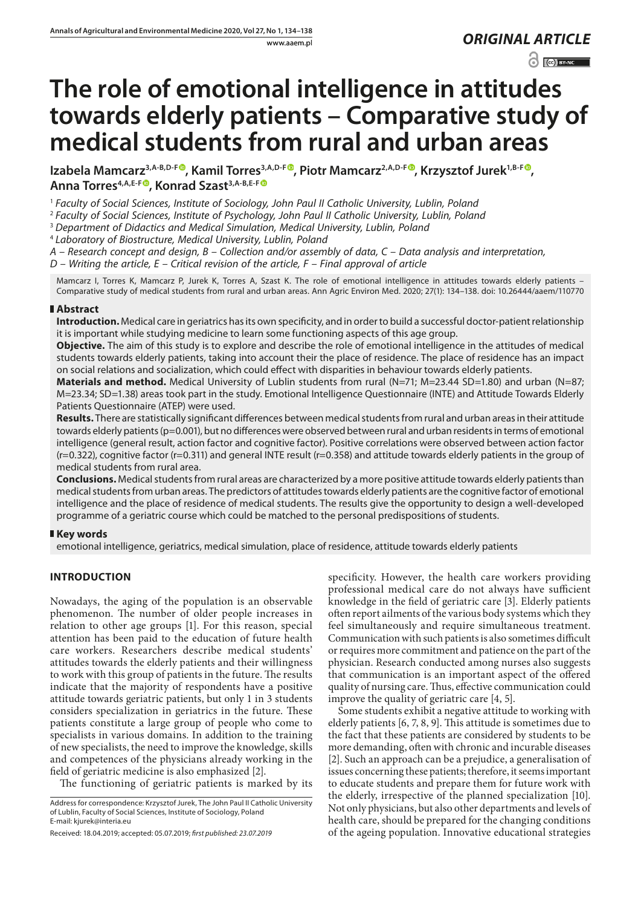www.aaem.pl *ORIGINAL [ARTICLE](http://creativecommons.org/licenses/by-nc/3.0/pl/deed.en)* 

# $\odot$   $\odot$  BY-NC

# **The role of emotional intelligence in attitudes towards elderly patients – Comparative study of medical students from rural and urban areas**

Izabela Mamcarz<sup>3,A-B,D-[F](https://orcid.org/0000-0001-6307-6326)<sup>®</sup>[,](https://orcid.org/0000-0003-2641-0510) Kamil Torres<sup>3,A,D-F®</sup>, Piotr Mamcarz<sup>2,A,D-F®</sup>, Krzysztof Jurek<sup>1,B-F®</sup>,</sup> Anna Torres<sup>4, A, E-[F](https://orcid.org/0000-0002-2769-9515)<sup>®</sup>, Konrad Szast<sup>3, A-B, E-F<sup>®</sup></sup></sup>

<sup>1</sup> *Faculty of Social Sciences, Institute of Sociology, John Paul II Catholic University, Lublin, Poland*

<sup>2</sup> *Faculty of Social Sciences, Institute of Psychology, John Paul II Catholic University, Lublin, Poland*

<sup>3</sup> *Department of Didactics and Medical Simulation, Medical University, Lublin, Poland*

<sup>4</sup> *Laboratory of Biostructure, Medical University, Lublin, Poland*

*A – Research concept and design, B – Collection and/or assembly of data, C – Data analysis and interpretation,* 

*D – Writing the article, E – Critical revision of the article, F – Final approval of article*

Mamcarz I, Torres K, Mamcarz P, Jurek K, Torres A, Szast K. The role of emotional intelligence in attitudes towards elderly patients – Comparative study of medical students from rural and urban areas. Ann Agric Environ Med. 2020; 27(1): 134–138. doi: 10.26444/aaem/110770

# **Abstract**

**Introduction.** Medical care in geriatrics has its own specificity, and in order to build a successful doctor-patient relationship it is important while studying medicine to learn some functioning aspects of this age group.

**Objective.** The aim of this study is to explore and describe the role of emotional intelligence in the attitudes of medical students towards elderly patients, taking into account their the place of residence. The place of residence has an impact on social relations and socialization, which could effect with disparities in behaviour towards elderly patients.

**Materials and method.** Medical University of Lublin students from rural (N=71; M=23.44 SD=1.80) and urban (N=87; M=23.34; SD=1.38) areas took part in the study. Emotional Intelligence Questionnaire (INTE) and Attitude Towards Elderly Patients Questionnaire (ATEP) were used.

**Results.** There are statistically significant differences between medical students from rural and urban areas in their attitude towards elderly patients (p=0.001), but no differences were observed between rural and urban residents in terms of emotional intelligence (general result, action factor and cognitive factor). Positive correlations were observed between action factor (r=0.322), cognitive factor (r=0.311) and general INTE result (r=0.358) and attitude towards elderly patients in the group of medical students from rural area.

**Conclusions.** Medical students from rural areas are characterized by a more positive attitude towards elderly patients than medical students from urban areas. The predictors of attitudes towards elderly patients are the cognitive factor of emotional intelligence and the place of residence of medical students. The results give the opportunity to design a well-developed programme of a geriatric course which could be matched to the personal predispositions of students.

# **Key words**

emotional intelligence, geriatrics, medical simulation, place of residence, attitude towards elderly patients

# **INTRODUCTION**

Nowadays, the aging of the population is an observable phenomenon. The number of older people increases in relation to other age groups [1]. For this reason, special attention has been paid to the education of future health care workers. Researchers describe medical students' attitudes towards the elderly patients and their willingness to work with this group of patients in the future. The results indicate that the majority of respondents have a positive attitude towards geriatric patients, but only 1 in 3 students considers specialization in geriatrics in the future. These patients constitute a large group of people who come to specialists in various domains. In addition to the training of new specialists, the need to improve the knowledge, skills and competences of the physicians already working in the field of geriatric medicine is also emphasized [2].

The functioning of geriatric patients is marked by its

specificity. However, the health care workers providing professional medical care do not always have sufficient knowledge in the field of geriatric care [3]. Elderly patients often report ailments of the various body systems which they feel simultaneously and require simultaneous treatment. Communication with such patients is also sometimes difficult or requires more commitment and patience on the part of the physician. Research conducted among nurses also suggests that communication is an important aspect of the offered quality of nursing care. Thus, effective communication could improve the quality of geriatric care [4, 5].

Some students exhibit a negative attitude to working with elderly patients [6, 7, 8, 9]. This attitude is sometimes due to the fact that these patients are considered by students to be more demanding, often with chronic and incurable diseases [2]. Such an approach can be a prejudice, a generalisation of issues concerning these patients; therefore, it seems important to educate students and prepare them for future work with the elderly, irrespective of the planned specialization [10]. Not only physicians, but also other departments and levels of health care, should be prepared for the changing conditions of the ageing population. Innovative educational strategies

Address for correspondence: Krzysztof Jurek, The John Paul II Catholic University of Lublin, Faculty of Social Sciences, Institute of Sociology, Poland E-mail: kjurek@interia.eu

Received: 18.04.2019; accepted: 05.07.2019; *first published: 23.07.2019*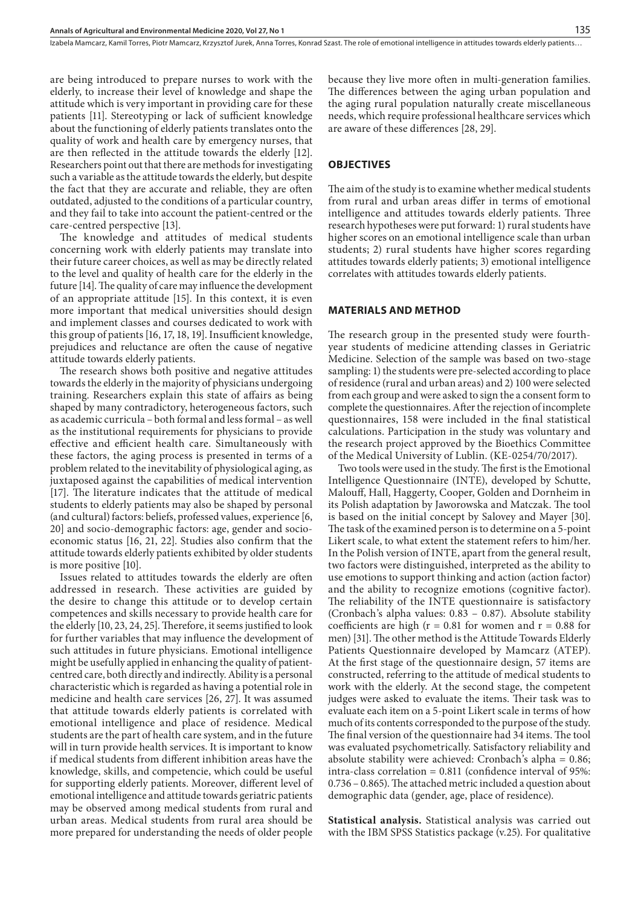Izabela Mamcarz, Kamil Torres, Piotr Mamcarz, Krzysztof Jurek, Anna Torres, Konrad Szast. The role of emotional intelligence in attitudes towards elderly patients...

are being introduced to prepare nurses to work with the elderly, to increase their level of knowledge and shape the attitude which is very important in providing care for these patients [11]. Stereotyping or lack of sufficient knowledge about the functioning of elderly patients translates onto the quality of work and health care by emergency nurses, that are then reflected in the attitude towards the elderly [12]. Researchers point out that there are methods for investigating such a variable as the attitude towards the elderly, but despite the fact that they are accurate and reliable, they are often outdated, adjusted to the conditions of a particular country, and they fail to take into account the patient-centred or the care-centred perspective [13].

The knowledge and attitudes of medical students concerning work with elderly patients may translate into their future career choices, as well as may be directly related to the level and quality of health care for the elderly in the future [14]. The quality of care may influence the development of an appropriate attitude [15]. In this context, it is even more important that medical universities should design and implement classes and courses dedicated to work with this group of patients [16, 17, 18, 19]. Insufficient knowledge, prejudices and reluctance are often the cause of negative attitude towards elderly patients.

The research shows both positive and negative attitudes towards the elderly in the majority of physicians undergoing training. Researchers explain this state of affairs as being shaped by many contradictory, heterogeneous factors, such as academic curricula – both formal and less formal – as well as the institutional requirements for physicians to provide effective and efficient health care. Simultaneously with these factors, the aging process is presented in terms of a problem related to the inevitability of physiological aging, as juxtaposed against the capabilities of medical intervention [17]. The literature indicates that the attitude of medical students to elderly patients may also be shaped by personal (and cultural) factors: beliefs, professed values, experience [6, 20] and socio-demographic factors: age, gender and socioeconomic status [16, 21, 22]. Studies also confirm that the attitude towards elderly patients exhibited by older students is more positive [10].

Issues related to attitudes towards the elderly are often addressed in research. These activities are guided by the desire to change this attitude or to develop certain competences and skills necessary to provide health care for the elderly [10, 23, 24, 25]. Therefore, it seems justified to look for further variables that may influence the development of such attitudes in future physicians. Emotional intelligence might be usefully applied in enhancing the quality of patientcentred care, both directly and indirectly. Ability is a personal characteristic which is regarded as having a potential role in medicine and health care services [26, 27]. It was assumed that attitude towards elderly patients is correlated with emotional intelligence and place of residence. Medical students are the part of health care system, and in the future will in turn provide health services. It is important to know if medical students from different inhibition areas have the knowledge, skills, and competencie, which could be useful for supporting elderly patients. Moreover, different level of emotional intelligence and attitude towards geriatric patients may be observed among medical students from rural and urban areas. Medical students from rural area should be more prepared for understanding the needs of older people

because they live more often in multi-generation families. The differences between the aging urban population and the aging rural population naturally create miscellaneous needs, which require professional healthcare services which are aware of these differences [28, 29].

#### **OBJECTIVES**

The aim of the study is to examine whether medical students from rural and urban areas differ in terms of emotional intelligence and attitudes towards elderly patients. Three research hypotheses were put forward: 1) rural students have higher scores on an emotional intelligence scale than urban students; 2) rural students have higher scores regarding attitudes towards elderly patients; 3) emotional intelligence correlates with attitudes towards elderly patients.

#### **MATERIALS AND METHOD**

The research group in the presented study were fourthyear students of medicine attending classes in Geriatric Medicine. Selection of the sample was based on two-stage sampling: 1) the students were pre-selected according to place of residence (rural and urban areas) and 2) 100 were selected from each group and were asked to sign the a consent form to complete the questionnaires. After the rejection of incomplete questionnaires, 158 were included in the final statistical calculations. Participation in the study was voluntary and the research project approved by the Bioethics Committee of the Medical University of Lublin. (KE-0254/70/2017).

Two tools were used in the study. The first is the Emotional Intelligence Questionnaire (INTE), developed by Schutte, Malouff, Hall, Haggerty, Cooper, Golden and Dornheim in its Polish adaptation by Jaworowska and Matczak. The tool is based on the initial concept by Salovey and Mayer [30]. The task of the examined person is to determine on a 5-point Likert scale, to what extent the statement refers to him/her. In the Polish version of INTE, apart from the general result, two factors were distinguished, interpreted as the ability to use emotions to support thinking and action (action factor) and the ability to recognize emotions (cognitive factor). The reliability of the INTE questionnaire is satisfactory (Cronbach's alpha values: 0.83 – 0.87). Absolute stability coefficients are high ( $r = 0.81$  for women and  $r = 0.88$  for men) [31]. The other method is the Attitude Towards Elderly Patients Questionnaire developed by Mamcarz (ATEP). At the first stage of the questionnaire design, 57 items are constructed, referring to the attitude of medical students to work with the elderly. At the second stage, the competent judges were asked to evaluate the items. Their task was to evaluate each item on a 5-point Likert scale in terms of how much of its contents corresponded to the purpose of the study. The final version of the questionnaire had 34 items. The tool was evaluated psychometrically. Satisfactory reliability and absolute stability were achieved: Cronbach's alpha = 0.86; intra-class correlation = 0.811 (confidence interval of 95%: 0.736 – 0.865). The attached metric included a question about demographic data (gender, age, place of residence).

**Statistical analysis.** Statistical analysis was carried out with the IBM SPSS Statistics package (v.25). For qualitative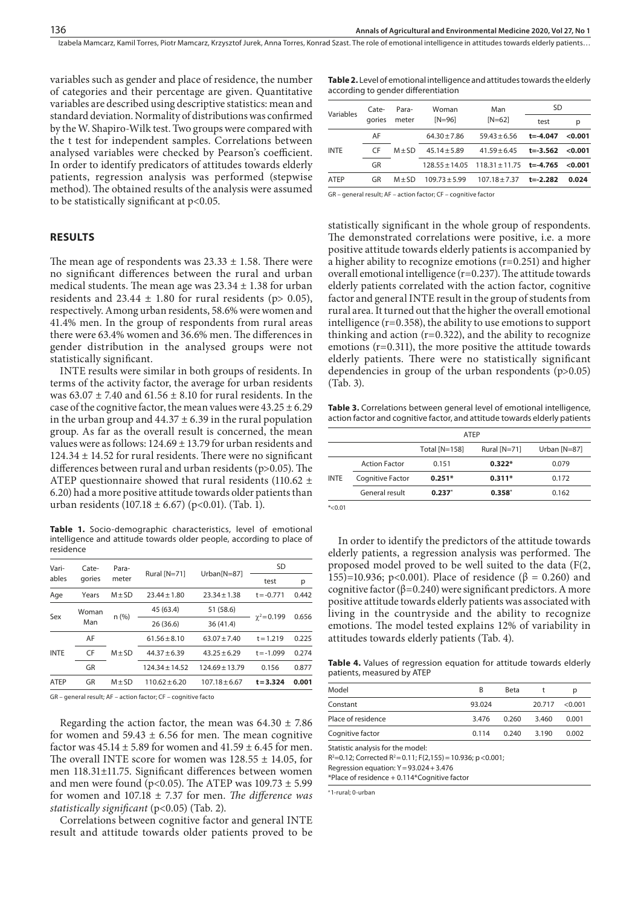variables such as gender and place of residence, the number of categories and their percentage are given. Quantitative variables are described using descriptive statistics: mean and standard deviation. Normality of distributions was confirmed by the W. Shapiro-Wilk test. Two groups were compared with the t test for independent samples. Correlations between analysed variables were checked by Pearson's coefficient. In order to identify predicators of attitudes towards elderly patients, regression analysis was performed (stepwise method). The obtained results of the analysis were assumed to be statistically significant at p<0.05.

#### **RESULTS**

The mean age of respondents was  $23.33 \pm 1.58$ . There were no significant differences between the rural and urban medical students. The mean age was  $23.34 \pm 1.38$  for urban residents and  $23.44 \pm 1.80$  for rural residents (p> 0.05), respectively. Among urban residents, 58.6% were women and 41.4% men. In the group of respondents from rural areas there were 63.4% women and 36.6% men. The differences in gender distribution in the analysed groups were not statistically significant.

INTE results were similar in both groups of residents. In terms of the activity factor, the average for urban residents was  $63.07 \pm 7.40$  and  $61.56 \pm 8.10$  for rural residents. In the case of the cognitive factor, the mean values were  $43.25 \pm 6.29$ in the urban group and  $44.37 \pm 6.39$  in the rural population group. As far as the overall result is concerned, the mean values were as follows:  $124.69 \pm 13.79$  for urban residents and  $124.34 \pm 14.52$  for rural residents. There were no significant differences between rural and urban residents (p>0.05). The ATEP questionnaire showed that rural residents (110.62  $\pm$ 6.20) had a more positive attitude towards older patients than urban residents (107.18  $\pm$  6.67) (p<0.01). (Tab. 1).

**Table 1.** Socio-demographic characteristics, level of emotional intelligence and attitude towards older people, according to place of residence

| Vari-<br>ables | Cate-<br>gories | Para-<br>meter | Rural [N=71]     | Urban <sub>[N=87]</sub> | SD                 |       |
|----------------|-----------------|----------------|------------------|-------------------------|--------------------|-------|
|                |                 |                |                  |                         | test               | р     |
| Age            | Years           | $M + SD$       | $23.44 \pm 1.80$ | $23.34 + 1.38$          | $t = -0.771$       | 0.442 |
| Sex            | Woman<br>Man    | n(%)           | 45 (63.4)        | 51 (58.6)               |                    | 0.656 |
|                |                 |                | 26(36.6)         | 36(41.4)                | $\gamma^2 = 0.199$ |       |
| <b>INTE</b>    | AF              | $M + SD$       | $61.56 + 8.10$   | $63.07 + 7.40$          | $t = 1.219$        | 0.225 |
|                | CF              |                | $44.37 + 6.39$   | $43.25 + 6.29$          | $t = -1.099$       | 0.274 |
|                | GR              |                | $124.34 + 14.52$ | $124.69 + 13.79$        | 0.156              | 0.877 |
| <b>ATEP</b>    | GR              | $M + SD$       | $110.62 + 6.20$  | $107.18 + 6.67$         | $t = 3.324$        | 0.001 |

GR – general result; AF – action factor; CF – cognitive facto

Regarding the action factor, the mean was  $64.30 \pm 7.86$ for women and  $59.43 \pm 6.56$  for men. The mean cognitive factor was  $45.14 \pm 5.89$  for women and  $41.59 \pm 6.45$  for men. The overall INTE score for women was  $128.55 \pm 14.05$ , for men 118.31±11.75. Significant differences between women and men were found (p<0.05). The ATEP was  $109.73 \pm 5.99$ for women and 107.18 ± 7.37 for men. *The difference was statistically significant* (p<0.05) (Tab. 2).

Correlations between cognitive factor and general INTE result and attitude towards older patients proved to be

**Table 2.** Level of emotional intelligence and attitudes towards the elderly according to gender differentiation

|             | Cate-<br>aories | Para-<br>meter | Woman<br>$[N=96]$ | Man                                                   | <b>SD</b>    |         |
|-------------|-----------------|----------------|-------------------|-------------------------------------------------------|--------------|---------|
| Variables   |                 |                |                   | $[N=62]$                                              | test         | p       |
|             | AF              | $M + SD$       | $64.30 \pm 7.86$  | $59.43 + 6.56$                                        | $t = -4.047$ | < 0.001 |
| <b>INTE</b> | <b>CF</b>       |                | $45.14 + 5.89$    | $41.59 \pm 6.45$                                      | t=-3.562     | < 0.001 |
|             | GR              |                |                   | $128.55 \pm 14.05$ $118.31 \pm 11.75$ <b>t=-4.765</b> |              | < 0.001 |
| <b>ATEP</b> | GR              | $M \pm SD$     | $109.73 + 5.99$   | $107.18 + 7.37$                                       | t=-2.282     | 0.024   |
|             |                 |                |                   |                                                       |              |         |

GR – general result; AF – action factor; CF – cognitive factor

statistically significant in the whole group of respondents. The demonstrated correlations were positive, i.e. a more positive attitude towards elderly patients is accompanied by a higher ability to recognize emotions (r=0.251) and higher overall emotional intelligence (r=0.237). The attitude towards elderly patients correlated with the action factor, cognitive factor and general INTE result in the group of students from rural area. It turned out that the higher the overall emotional intelligence (r=0.358), the ability to use emotions to support thinking and action  $(r=0.322)$ , and the ability to recognize emotions (r=0.311), the more positive the attitude towards elderly patients. There were no statistically significant dependencies in group of the urban respondents (p>0.05) (Tab. 3).

**Table 3.** Correlations between general level of emotional intelligence, action factor and cognitive factor, and attitude towards elderly patients

|             | ATFP                                      |                 |                |              |
|-------------|-------------------------------------------|-----------------|----------------|--------------|
|             |                                           | Total $[N=158]$ | Rural $[N=71]$ | Urban [N=87] |
| <b>INTE</b> | <b>Action Factor</b><br>$0.322*$<br>0.151 |                 | 0.079          |              |
|             | Cognitive Factor                          | $0.251*$        | $0.311*$       | 0.172        |
|             | General result                            | 0.237           | 0.358"         | 0.162        |

 $*<0.01$ 

In order to identify the predictors of the attitude towards elderly patients, a regression analysis was performed. The proposed model proved to be well suited to the data (F(2, 155)=10.936; p<0.001). Place of residence (β = 0.260) and cognitive factor ( $\beta$ =0.240) were significant predictors. A more positive attitude towards elderly patients was associated with living in the countryside and the ability to recognize emotions. The model tested explains 12% of variability in attitudes towards elderly patients (Tab. 4).

**Table 4.** Values of regression equation for attitude towards elderly patients, measured by ATEP

| Model              | B      | Beta  |        | D         |
|--------------------|--------|-------|--------|-----------|
| Constant           | 93.024 |       | 20.717 | $<$ 0.001 |
| Place of residence | 3.476  | 0.260 | 3.460  | 0.001     |
| Cognitive factor   | 0.114  | 0.240 | 3.190  | 0.002     |

Statistic analysis for the model:

 $R^2$ =0.12; Corrected  $R^2$ =0.11; F(2,155) = 10.936; p <0.001;

Regression equation: Y=93.024+3.476

\*Place of residence + 0.114\*Cognitive factor

a 1-rural; 0-urban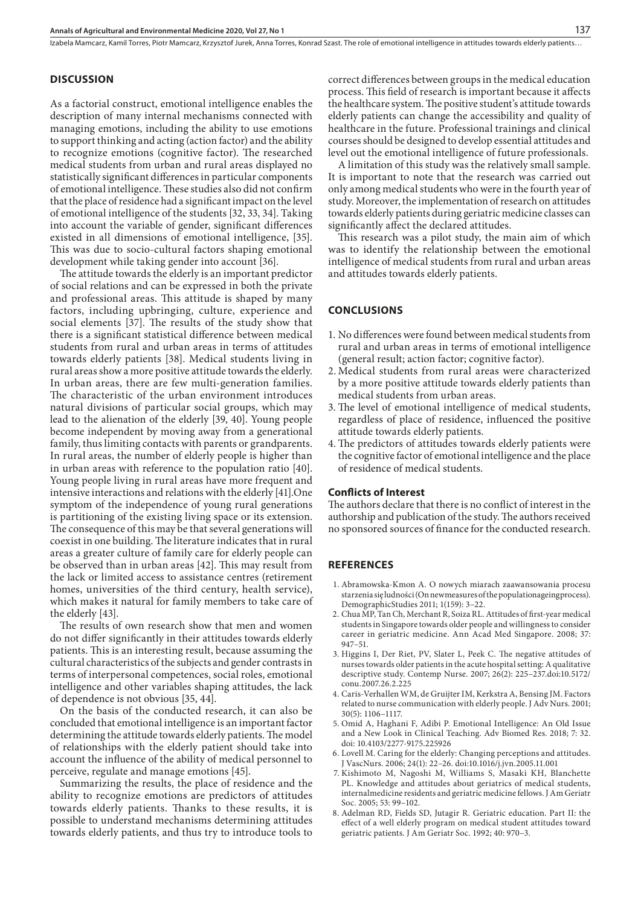Izabela Mamcarz, Kamil Torres, Piotr Mamcarz, Krzysztof Jurek, Anna Torres, Konrad Szast . The role of emotional intelligence in attitudes towards elderly patients…

### **DISCUSSION**

As a factorial construct, emotional intelligence enables the description of many internal mechanisms connected with managing emotions, including the ability to use emotions to support thinking and acting (action factor) and the ability to recognize emotions (cognitive factor). The researched medical students from urban and rural areas displayed no statistically significant differences in particular components of emotional intelligence. These studies also did not confirm that the place of residence had a significant impact on the level of emotional intelligence of the students [32, 33, 34]. Taking into account the variable of gender, significant differences existed in all dimensions of emotional intelligence, [35]. This was due to socio-cultural factors shaping emotional development while taking gender into account [36].

The attitude towards the elderly is an important predictor of social relations and can be expressed in both the private and professional areas. This attitude is shaped by many factors, including upbringing, culture, experience and social elements [37]. The results of the study show that there is a significant statistical difference between medical students from rural and urban areas in terms of attitudes towards elderly patients [38]. Medical students living in rural areas show a more positive attitude towards the elderly. In urban areas, there are few multi-generation families. The characteristic of the urban environment introduces natural divisions of particular social groups, which may lead to the alienation of the elderly [39, 40]. Young people become independent by moving away from a generational family, thus limiting contacts with parents or grandparents. In rural areas, the number of elderly people is higher than in urban areas with reference to the population ratio [40]. Young people living in rural areas have more frequent and intensive interactions and relations with the elderly [41].One symptom of the independence of young rural generations is partitioning of the existing living space or its extension. The consequence of this may be that several generations will coexist in one building. The literature indicates that in rural areas a greater culture of family care for elderly people can be observed than in urban areas [42]. This may result from the lack or limited access to assistance centres (retirement homes, universities of the third century, health service), which makes it natural for family members to take care of the elderly [43].

The results of own research show that men and women do not differ significantly in their attitudes towards elderly patients. This is an interesting result, because assuming the cultural characteristics of the subjects and gender contrasts in terms of interpersonal competences, social roles, emotional intelligence and other variables shaping attitudes, the lack of dependence is not obvious [35, 44].

On the basis of the conducted research, it can also be concluded that emotional intelligence is an important factor determining the attitude towards elderly patients. The model of relationships with the elderly patient should take into account the influence of the ability of medical personnel to perceive, regulate and manage emotions [45].

Summarizing the results, the place of residence and the ability to recognize emotions are predictors of attitudes towards elderly patients. Thanks to these results, it is possible to understand mechanisms determining attitudes towards elderly patients, and thus try to introduce tools to

correct differences between groups in the medical education process. This field of research is important because it affects the healthcare system. The positive student's attitude towards elderly patients can change the accessibility and quality of healthcare in the future. Professional trainings and clinical courses should be designed to develop essential attitudes and level out the emotional intelligence of future professionals.

A limitation of this study was the relatively small sample. It is important to note that the research was carried out only among medical students who were in the fourth year of study. Moreover, the implementation of research on attitudes towards elderly patients during geriatric medicine classes can significantly affect the declared attitudes.

This research was a pilot study, the main aim of which was to identify the relationship between the emotional intelligence of medical students from rural and urban areas and attitudes towards elderly patients.

#### **CONCLUSIONS**

- 1. No differences were found between medical students from rural and urban areas in terms of emotional intelligence (general result; action factor; cognitive factor).
- 2. Medical students from rural areas were characterized by a more positive attitude towards elderly patients than medical students from urban areas.
- 3. The level of emotional intelligence of medical students, regardless of place of residence, influenced the positive attitude towards elderly patients.
- 4.The predictors of attitudes towards elderly patients were the cognitive factor of emotional intelligence and the place of residence of medical students.

#### **Conflicts of Interest**

The authors declare that there is no conflict of interest in the authorship and publication of the study. The authors received no sponsored sources of finance for the conducted research.

#### **REFERENCES**

- 1. Abramowska-Kmon A. O nowych miarach zaawansowania procesu starzenia się ludności (On newmeasures of the populationageingprocess). DemographicStudies 2011; 1(159): 3–22.
- 2. Chua MP, Tan Ch, Merchant R, Soiza RL. Attitudes of first-year medical students in Singapore towards older people and willingness to consider career in geriatric medicine. Ann Acad Med Singapore. 2008; 37: 947–51.
- 3. Higgins I, Der Riet, PV, Slater L, Peek C. The negative attitudes of nurses towards older patients in the acute hospital setting: A qualitative descriptive study. Contemp Nurse. 2007; 26(2): 225–237.doi:10.5172/ conu.2007.26.2.225
- 4. Caris-Verhallen WM, de Gruijter IM, Kerkstra A, Bensing JM. Factors related to nurse communication with elderly people. J Adv Nurs. 2001; 30(5): 1106–1117.
- 5. Omid A, Haghani F, Adibi P. Emotional Intelligence: An Old Issue and a New Look in Clinical Teaching. Adv Biomed Res. 2018; 7: 32. doi: 10.4103/2277-9175.225926
- 6. Lovell M. Caring for the elderly: Changing perceptions and attitudes. J VascNurs. 2006; 24(1): 22–26. doi:10.1016/j.jvn.2005.11.001
- 7. Kishimoto M, Nagoshi M, Williams S, Masaki KH, Blanchette PL. Knowledge and attitudes about geriatrics of medical students, internalmedicine residents and geriatric medicine fellows. J Am Geriatr Soc. 2005; 53: 99–102.
- 8. Adelman RD, Fields SD, Jutagir R. Geriatric education. Part II: the effect of a well elderly program on medical student attitudes toward geriatric patients. J Am Geriatr Soc. 1992; 40: 970–3.